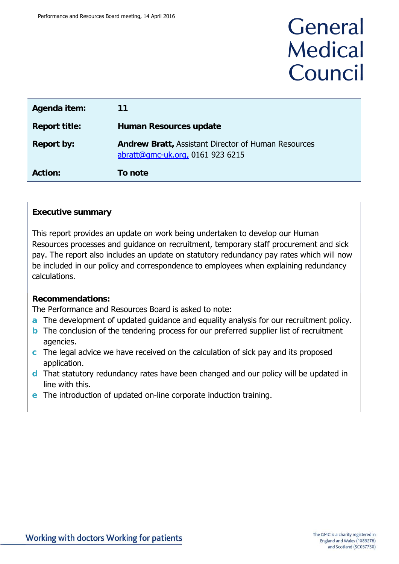# General **Medical** Council

| Agenda item:         | 11                                                                                             |
|----------------------|------------------------------------------------------------------------------------------------|
| <b>Report title:</b> | <b>Human Resources update</b>                                                                  |
| <b>Report by:</b>    | <b>Andrew Bratt, Assistant Director of Human Resources</b><br>abratt@gmc-uk.org, 0161 923 6215 |
| <b>Action:</b>       | To note                                                                                        |

## **Executive summary**

This report provides an update on work being undertaken to develop our Human Resources processes and guidance on recruitment, temporary staff procurement and sick pay. The report also includes an update on statutory redundancy pay rates which will now be included in our policy and correspondence to employees when explaining redundancy calculations.

### **Recommendations:**

The Performance and Resources Board is asked to note:

- **a** The development of updated guidance and equality analysis for our recruitment policy.
- **b** The conclusion of the tendering process for our preferred supplier list of recruitment agencies.
- **c** The legal advice we have received on the calculation of sick pay and its proposed application.
- **d** That statutory redundancy rates have been changed and our policy will be updated in line with this.
- **e** The introduction of updated on-line corporate induction training.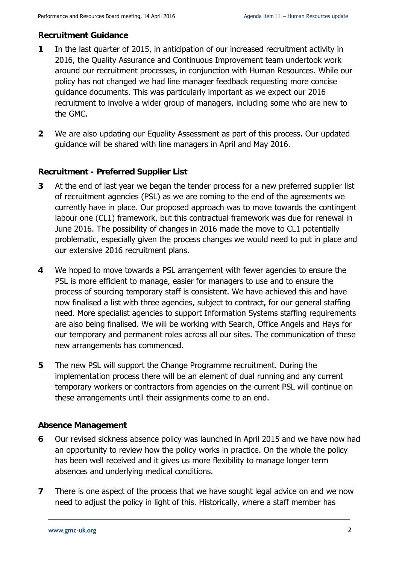### **Recruitment Guidance**

- **1** In the last quarter of 2015, in anticipation of our increased recruitment activity in 2016, the Quality Assurance and Continuous Improvement team undertook work around our recruitment processes, in conjunction with Human Resources. While our policy has not changed we had line manager feedback requesting more concise guidance documents. This was particularly important as we expect our 2016 recruitment to involve a wider group of managers, including some who are new to the GMC.
- **2** We are also updating our Equality Assessment as part of this process. Our updated guidance will be shared with line managers in April and May 2016.

## **Recruitment - Preferred Supplier List**

- **3** At the end of last year we began the tender process for a new preferred supplier list of recruitment agencies (PSL) as we are coming to the end of the agreements we currently have in place. Our proposed approach was to move towards the contingent labour one (CL1) framework, but this contractual framework was due for renewal in June 2016. The possibility of changes in 2016 made the move to CL1 potentially problematic, especially given the process changes we would need to put in place and our extensive 2016 recruitment plans.
- **4** We hoped to move towards a PSL arrangement with fewer agencies to ensure the PSL is more efficient to manage, easier for managers to use and to ensure the process of sourcing temporary staff is consistent. We have achieved this and have now finalised a list with three agencies, subject to contract, for our general staffing need. More specialist agencies to support Information Systems staffing requirements are also being finalised. We will be working with Search, Office Angels and Hays for our temporary and permanent roles across all our sites. The communication of these new arrangements has commenced.
- **5** The new PSL will support the Change Programme recruitment. During the implementation process there will be an element of dual running and any current temporary workers or contractors from agencies on the current PSL will continue on these arrangements until their assignments come to an end.

### **Absence Management**

- **6** Our revised sickness absence policy was launched in April 2015 and we have now had an opportunity to review how the policy works in practice. On the whole the policy has been well received and it gives us more flexibility to manage longer term absences and underlying medical conditions.
- **7** There is one aspect of the process that we have sought legal advice on and we now need to adjust the policy in light of this. Historically, where a staff member has